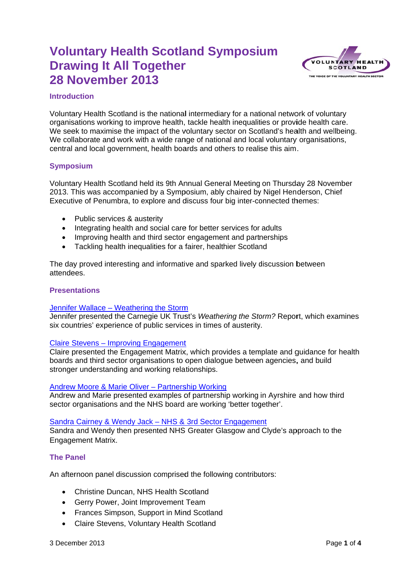

## **Introduction**

Voluntary Health Scotland is the national intermediary for a national network of voluntary organisations working to improve health, tackle health inequalities or provide health care. We seek to maximise the impact of the voluntary sector on Scotland's health and wellbeing. We collaborate and work with a wide range of national and local voluntary organisations. central and local government, health boards and others to realise this aim.

## **Symposium**

Voluntary Health Scotland held its 9th Annual General Meeting on Thursday 28 November 2013. This was accompanied by a Symposium, ably chaired by Nigel Henderson, Chief Executive of Penumbra, to explore and discuss four big inter-connected themes:

- Public services & austerity
- Integrating health and social care for better services for adults
- Improving health and third sector engagement and partnerships
- Tackling health inequalities for a fairer, healthier Scotland

The day proved interesting and informative and sparked lively discussion between attendees.

### **Presentations**

### Jennifer Wallace - Weathering the Storm

Jennifer presented the Carnegie UK Trust's Weathering the Storm? Report, which examines six countries' experience of public services in times of austerity.

### **Claire Stevens - Improving Engagement**

Claire presented the Engagement Matrix, which provides a template and quidance for health boards and third sector organisations to open dialogue between agencies, and build stronger understanding and working relationships.

### Andrew Moore & Marie Oliver - Partnership Working

Andrew and Marie presented examples of partnership working in Ayrshire and how third sector organisations and the NHS board are working 'better together'.

Sandra Cairney & Wendy Jack - NHS & 3rd Sector Engagement

Sandra and Wendy then presented NHS Greater Glasgow and Clyde's approach to the **Engagement Matrix.** 

### **The Panel**

An afternoon panel discussion comprised the following contributors:

- Christine Duncan, NHS Health Scotland
- Gerry Power, Joint Improvement Team
- Frances Simpson, Support in Mind Scotland
- Claire Stevens, Voluntary Health Scotland  $\bullet$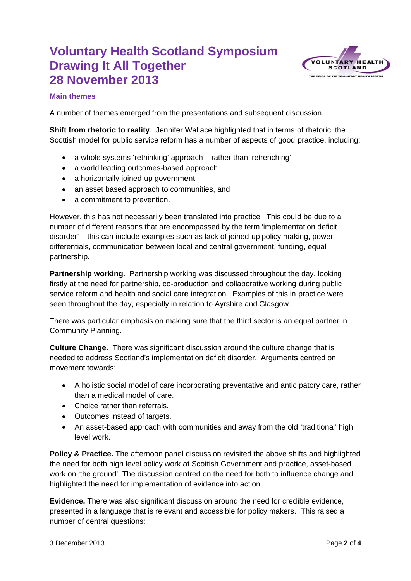

# **Main themes**

A number of themes emerged from the presentations and subsequent discussion.

Shift from rhetoric to reality. Jennifer Wallace highlighted that in terms of rhetoric, the Scottish model for public service reform has a number of aspects of good practice, including:

- a whole systems 'rethinking' approach rather than 'retrenching'
- a world leading outcomes-based approach
- a horizontally ioined-up government
- an asset based approach to communities, and
- a commitment to prevention.

However, this has not necessarily been translated into practice. This could be due to a number of different reasons that are encompassed by the term 'implementation deficit disorder' - this can include examples such as lack of joined-up policy making, power differentials, communication between local and central government, funding, equal partnership.

**Partnership working.** Partnership working was discussed throughout the day, looking firstly at the need for partnership, co-production and collaborative working during public service reform and health and social care integration. Examples of this in practice were seen throughout the day, especially in relation to Ayrshire and Glasgow.

There was particular emphasis on making sure that the third sector is an equal partner in Community Planning.

Culture Change. There was significant discussion around the culture change that is needed to address Scotland's implementation deficit disorder. Arguments centred on movement towards:

- A holistic social model of care incorporating preventative and anticipatory care, rather  $\bullet$ than a medical model of care.
- Choice rather than referrals.
- Outcomes instead of targets.
- An asset-based approach with communities and away from the old 'traditional' high level work.

Policy & Practice. The afternoon panel discussion revisited the above shifts and highlighted the need for both high level policy work at Scottish Government and practice, asset-based work on 'the ground'. The discussion centred on the need for both to influence change and highlighted the need for implementation of evidence into action.

Evidence. There was also significant discussion around the need for credible evidence, presented in a language that is relevant and accessible for policy makers. This raised a number of central questions: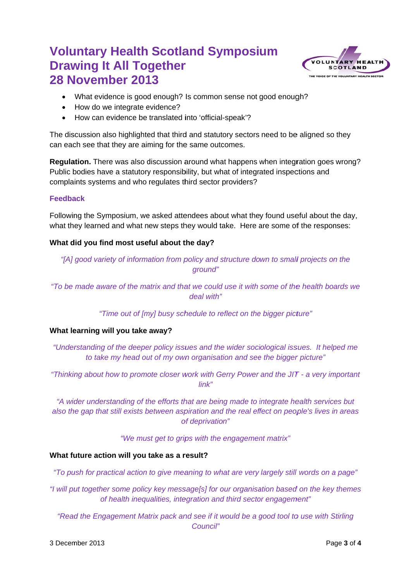

- What evidence is good enough? Is common sense not good enough?
- How do we integrate evidence?
- How can evidence be translated into 'official-speak'?

The discussion also highlighted that third and statutory sectors need to be aligned so they can each see that they are aiming for the same outcomes.

Regulation. There was also discussion around what happens when integration goes wrong? Public bodies have a statutory responsibility, but what of integrated inspections and complaints systems and who regulates third sector providers?

## **Feedback**

Following the Symposium, we asked attendees about what they found useful about the day, what they learned and what new steps they would take. Here are some of the responses:

## What did you find most useful about the day?

"[A] good variety of information from policy and structure down to small projects on the around"

"To be made aware of the matrix and that we could use it with some of the health boards we  $deal with"$ 

"Time out of [my] busy schedule to reflect on the bigger picture"

## What learning will you take away?

"Understanding of the deeper policy issues and the wider sociological issues. It helped me to take my head out of my own organisation and see the bigger picture"

"Thinking about how to promote closer work with Gerry Power and the JIT - a very important  $link"$ 

"A wider understanding of the efforts that are being made to integrate health services but also the gap that still exists between aspiration and the real effect on people's lives in areas of deprivation"

"We must get to grips with the engagement matrix"

## What future action will you take as a result?

"To push for practical action to give meaning to what are very largely still words on a page"

"I will put together some policy key message[s] for our organisation based on the key themes of health inequalities, integration and third sector engagement"

"Read the Engagement Matrix pack and see if it would be a good tool to use with Stirling Council"

3 December 2013